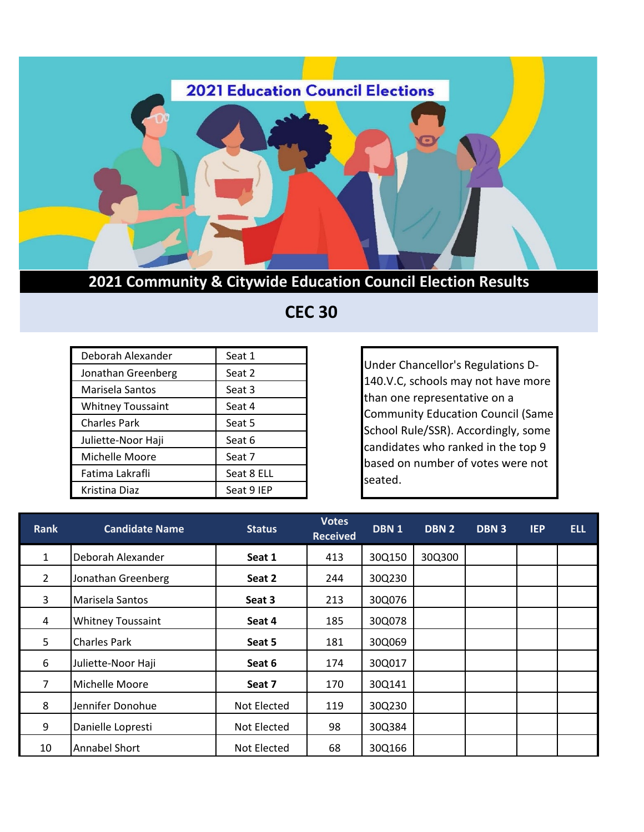

**2021 Community & Citywide Education Council Election Results**

 **CEC 30**

| Deborah Alexander        | Seat 1     |
|--------------------------|------------|
| Jonathan Greenberg       | Seat 2     |
| Marisela Santos          | Seat 3     |
| <b>Whitney Toussaint</b> | Seat 4     |
| <b>Charles Park</b>      | Seat 5     |
| Juliette-Noor Haji       | Seat 6     |
| Michelle Moore           | Seat 7     |
| Fatima Lakrafli          | Seat 8 ELL |
| Kristina Diaz            | Seat 9 IEP |

Under Chancellor's Regulations D-140.V.C, schools may not have more than one representative on a Community Education Council (Same School Rule/SSR). Accordingly, some candidates who ranked in the top 9 based on number of votes were not seated.

| <b>Rank</b>    | <b>Candidate Name</b>    | <b>Status</b> | <b>Votes</b><br><b>Received</b> | DBN 1  | DBN <sub>2</sub> | DBN <sub>3</sub> | <b>IEP</b> | <b>ELL</b> |
|----------------|--------------------------|---------------|---------------------------------|--------|------------------|------------------|------------|------------|
| 1              | Deborah Alexander        | Seat 1        | 413                             | 30Q150 | 30Q300           |                  |            |            |
| $\overline{2}$ | Jonathan Greenberg       | Seat 2        | 244                             | 30Q230 |                  |                  |            |            |
| 3              | Marisela Santos          | Seat 3        | 213                             | 30Q076 |                  |                  |            |            |
| 4              | <b>Whitney Toussaint</b> | Seat 4        | 185                             | 30Q078 |                  |                  |            |            |
| 5              | <b>Charles Park</b>      | Seat 5        | 181                             | 30Q069 |                  |                  |            |            |
| 6              | Juliette-Noor Haji       | Seat 6        | 174                             | 30Q017 |                  |                  |            |            |
| 7              | Michelle Moore           | Seat 7        | 170                             | 30Q141 |                  |                  |            |            |
| 8              | Jennifer Donohue         | Not Elected   | 119                             | 30Q230 |                  |                  |            |            |
| 9              | Danielle Lopresti        | Not Elected   | 98                              | 30Q384 |                  |                  |            |            |
| 10             | <b>Annabel Short</b>     | Not Elected   | 68                              | 30Q166 |                  |                  |            |            |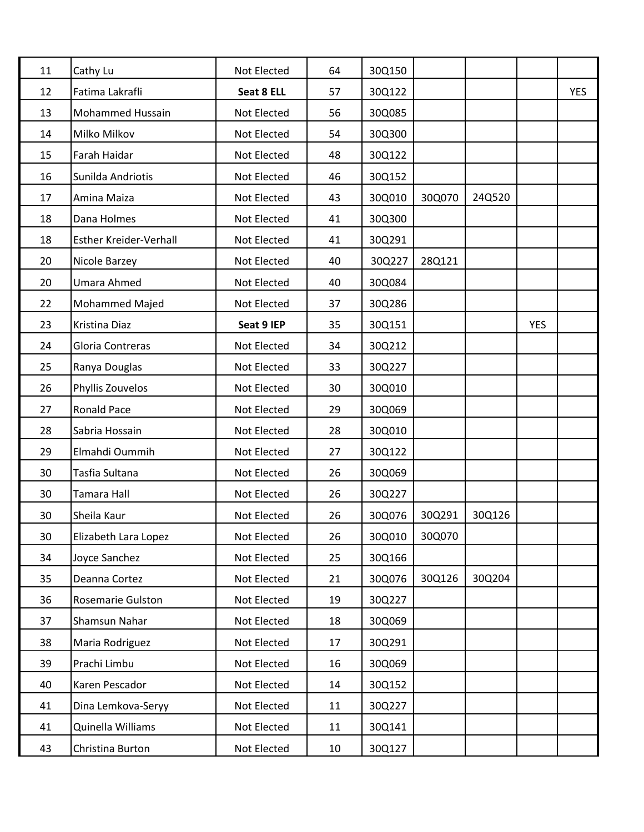| 11 | Cathy Lu                | Not Elected | 64 | 30Q150 |        |        |            |            |
|----|-------------------------|-------------|----|--------|--------|--------|------------|------------|
| 12 | Fatima Lakrafli         | Seat 8 ELL  | 57 | 30Q122 |        |        |            | <b>YES</b> |
| 13 | <b>Mohammed Hussain</b> | Not Elected | 56 | 30Q085 |        |        |            |            |
| 14 | Milko Milkov            | Not Elected | 54 | 30Q300 |        |        |            |            |
| 15 | Farah Haidar            | Not Elected | 48 | 30Q122 |        |        |            |            |
| 16 | Sunilda Andriotis       | Not Elected | 46 | 30Q152 |        |        |            |            |
| 17 | Amina Maiza             | Not Elected | 43 | 30Q010 | 30Q070 | 24Q520 |            |            |
| 18 | Dana Holmes             | Not Elected | 41 | 30Q300 |        |        |            |            |
| 18 | Esther Kreider-Verhall  | Not Elected | 41 | 30Q291 |        |        |            |            |
| 20 | Nicole Barzey           | Not Elected | 40 | 30Q227 | 28Q121 |        |            |            |
| 20 | Umara Ahmed             | Not Elected | 40 | 30Q084 |        |        |            |            |
| 22 | Mohammed Majed          | Not Elected | 37 | 30Q286 |        |        |            |            |
| 23 | Kristina Diaz           | Seat 9 IEP  | 35 | 30Q151 |        |        | <b>YES</b> |            |
| 24 | Gloria Contreras        | Not Elected | 34 | 30Q212 |        |        |            |            |
| 25 | Ranya Douglas           | Not Elected | 33 | 30Q227 |        |        |            |            |
| 26 | Phyllis Zouvelos        | Not Elected | 30 | 30Q010 |        |        |            |            |
| 27 | Ronald Pace             | Not Elected | 29 | 30Q069 |        |        |            |            |
| 28 | Sabria Hossain          | Not Elected | 28 | 30Q010 |        |        |            |            |
| 29 | Elmahdi Oummih          | Not Elected | 27 | 30Q122 |        |        |            |            |
| 30 | Tasfia Sultana          | Not Elected | 26 | 30Q069 |        |        |            |            |
| 30 | Tamara Hall             | Not Elected | 26 | 30Q227 |        |        |            |            |
| 30 | Sheila Kaur             | Not Elected | 26 | 30Q076 | 30Q291 | 30Q126 |            |            |
| 30 | Elizabeth Lara Lopez    | Not Elected | 26 | 30Q010 | 30Q070 |        |            |            |
| 34 | Joyce Sanchez           | Not Elected | 25 | 30Q166 |        |        |            |            |
| 35 | Deanna Cortez           | Not Elected | 21 | 30Q076 | 30Q126 | 30Q204 |            |            |
| 36 | Rosemarie Gulston       | Not Elected | 19 | 30Q227 |        |        |            |            |
| 37 | Shamsun Nahar           | Not Elected | 18 | 30Q069 |        |        |            |            |
| 38 | Maria Rodriguez         | Not Elected | 17 | 30Q291 |        |        |            |            |
| 39 | Prachi Limbu            | Not Elected | 16 | 30Q069 |        |        |            |            |
| 40 | Karen Pescador          | Not Elected | 14 | 30Q152 |        |        |            |            |
| 41 | Dina Lemkova-Seryy      | Not Elected | 11 | 30Q227 |        |        |            |            |
| 41 | Quinella Williams       | Not Elected | 11 | 30Q141 |        |        |            |            |
| 43 | Christina Burton        | Not Elected | 10 | 30Q127 |        |        |            |            |